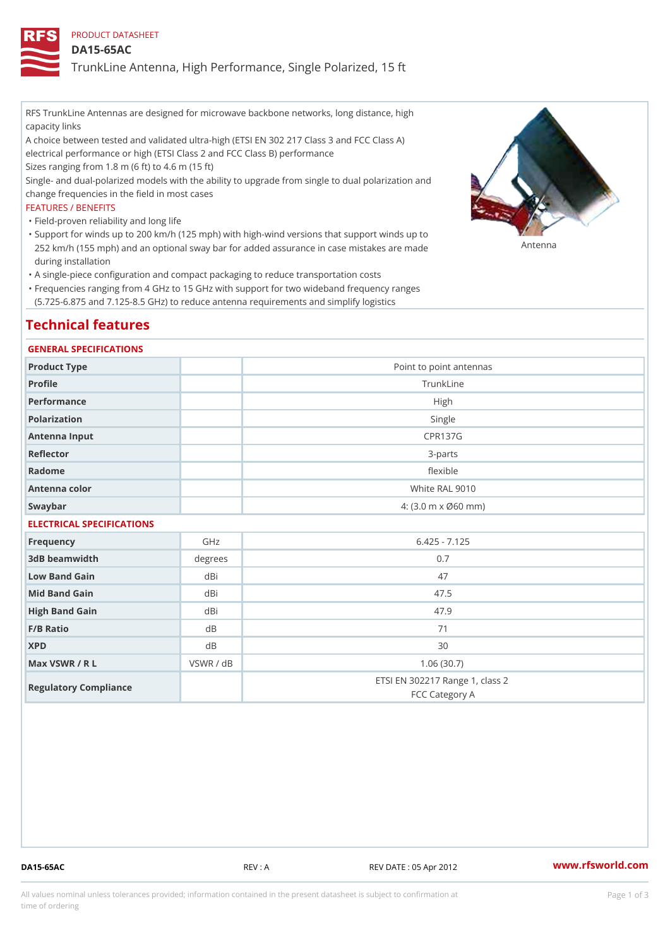PRODUCT DATASHEET

DA15-65AC

TrunkLine Antenna, High Performance, Single Polarized, 15 ft

RFS TrunkLine Antennas are designed for microwave backbone networks, long distance, high capacity links

A choice between tested and validated ultra-high (ETSI EN 302 217 Class 3 and FCC Class A) electrical performance or high (ETSI Class 2 and FCC Class B) performance

Sizes ranging from 1.8 m (6 ft) to 4.6 m (15 ft)

Single- and dual-polarized models with the ability to upgrade from single to dual polarization and change frequencies in the field in most cases

### FEATURES / BENEFITS

"Field-proven reliability and long life

- Support for winds up to 200 km/h (125 mph) with high-wind versions that support winds up to " 252 km/h (155 mph) and an optional sway bar for added assurance in case m S # \$ R & B are made during installation
- "A single-piece configuration and compact packaging to reduce transportation costs
- Frequencies ranging from 4 GHz to 15 GHz with support for two wideband frequency ranges " (5.725-6.875 and 7.125-8.5 GHz) to reduce antenna requirements and simplify logistics

# Technical features

### GENERAL SPECIFICATIONS

| Product Type              | Point to point antennas                                 |  |  |
|---------------------------|---------------------------------------------------------|--|--|
| Profile                   | TrunkLine                                               |  |  |
| Performance               | High                                                    |  |  |
| Polarization              | Single                                                  |  |  |
| Antenna Input             | <b>CPR137G</b>                                          |  |  |
| Reflector                 | $3 - p$ arts                                            |  |  |
| Radome                    | flexible                                                |  |  |
| Antenna color             | White RAL 9010                                          |  |  |
| Swaybar                   | $4: (3.0 \, \text{m} \times \emptyset 60 \, \text{mm})$ |  |  |
| ELECTRICAL SPECIFICATIONS |                                                         |  |  |

| Frequency             | GHz       | $6.425 - 7.125$                                   |
|-----------------------|-----------|---------------------------------------------------|
| 3dB beamwidth         | degree    | 0.7                                               |
| Low Band Gain         | dBi       | 47                                                |
| Mid Band Gain         | dBi       | 47.5                                              |
| High Band Gain        | dBi       | 47.9                                              |
| $F/B$ Ratio           | d B       | 71                                                |
| <b>XPD</b>            | d B       | 30                                                |
| Max VSWR / R L        | VSWR / dB | 1.06(30.7)                                        |
| Regulatory Compliance |           | ETSI EN 302217 Range 1, class 2<br>FCC Category A |

DA15-65AC REV : A REV DATE : 05 Apr 2012 [www.](https://www.rfsworld.com)rfsworld.com

All values nominal unless tolerances provided; information contained in the present datasheet is subject to Pcapgeign mation time of ordering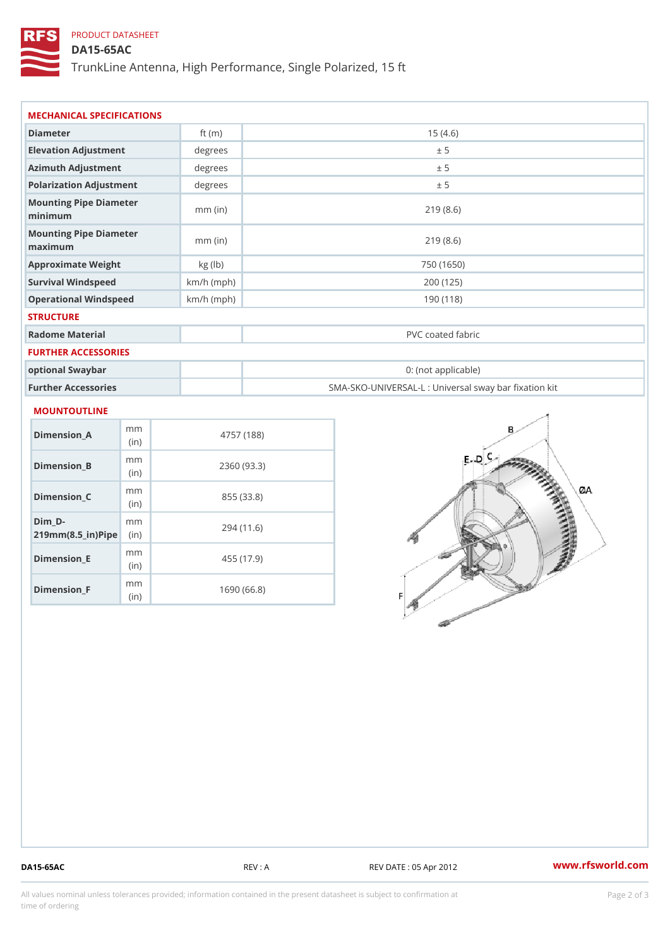## PRODUCT DATASHEET

DA15-65AC

TrunkLine Antenna, High Performance, Single Polarized, 15 ft

| Diameter                          | ft $(m)$     | 15(4.6)                                           |
|-----------------------------------|--------------|---------------------------------------------------|
| Elevation Adjustment              | degrees      | ± 5                                               |
| Azimuth Adjustment                | degrees      | ± 5                                               |
| Polarization Adjustment           | degree       | ± 5                                               |
| Mounting Pipe Diameter<br>minimum | $mm$ (in)    | 219(8.6)                                          |
| Mounting Pipe Diameter<br>maximum | $mm$ (in)    | 219(8.6)                                          |
| Approximate Weight                | kg (lb)      | 750 (1650)                                        |
| Survival Windspeed                | $km/h$ (mph) | 200 (125)                                         |
| Operational Windspeed             | $km/h$ (mph) | 190 (118)                                         |
| <b>STRUCTURE</b>                  |              |                                                   |
| Radome Material                   |              | PVC coated fabric                                 |
| FURTHER ACCESSORIES               |              |                                                   |
| optional Swaybar                  |              | 0: (not applicable)                               |
| Further Accessories               |              | SMA-SKO-UNIVERSAL-L : Universal sway bar fixation |

| Dimension A                                          | m m<br>(i n) | 4757 (188)  |
|------------------------------------------------------|--------------|-------------|
| Dimension B                                          | m m<br>(i n) | 2360 (93.3) |
| Dimension C                                          | m m<br>(in)  | 855 (33.8)  |
| Dim D-<br>$219$ m m $(8.5$ ir $)$ $\mathbb{R}$ imple | m m          | 294 (11.6)  |
| Dimension E                                          | m m<br>(i n) | 455 (17.9)  |
| Dimension <sub>_F</sub>                              | m m<br>(i n) | 1690 (66.8) |

DA15-65AC REV : A REV DATE : 05 Apr 2012 [www.](https://www.rfsworld.com)rfsworld.com